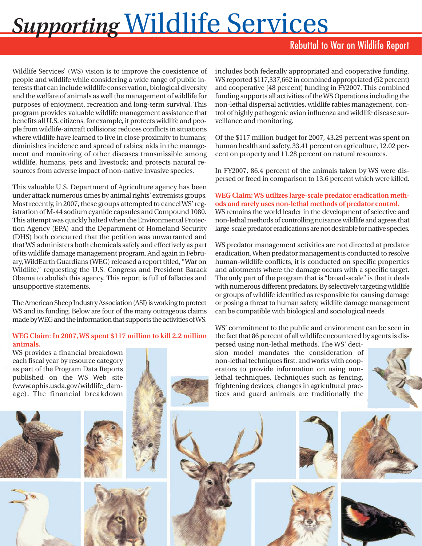# *Supporting* Wildlife Services

## Rebuttal to War on Wildlife Report

Wildlife Services' (WS) vision is to improve the coexistence of people and wildlife while considering a wide range of public interests that can include wildlife conservation, biological diversity and the welfare of animals as well the management of wildlife for purposes of enjoyment, recreation and long-term survival. This program provides valuable wildlife management assistance that benefits all U.S. citizens, for example, it protects wildlife and people from wildlife-aircraft collisions; reduces conflicts in situations where wildlife have learned to live in close proximity to humans; diminishes incidence and spread of rabies; aids in the management and monitoring of other diseases transmissible among wildlife, humans, pets and livestock; and protects natural resources from adverse impact of non-native invasive species.

This valuable U.S. Department of Agriculture agency has been under attack numerous times by animal rights' extremists groups. Most recently, in 2007, these groups attempted to cancel WS' registration of M-44 sodium cyanide capsules and Compound 1080. This attempt was quickly halted when the Environmental Protection Agency (EPA) and the Department of Homeland Security (DHS) both concurred that the petition was unwarranted and that WS administers both chemicals safely and effectively as part of its wildlife damage management program. And again in February, WildEarth Guardians (WEG) released a report titled, "War on Wildlife," requesting the U.S. Congress and President Barack Obama to abolish this agency. This report is full of fallacies and unsupportive statements.

The American Sheep Industry Association (ASI) is working to protect WS and its funding. Below are four of the many outrageous claims made by WEG and the information that supports the activities of WS.

#### **WEG Claim**: **In 2007, WS spent \$117 million to kill 2.2 million animals.**

WS provides a financial breakdown each fiscal year by resource category as part of the Program Data Reports published on the WS Web site (www.aphis.usda.gov/wildlife\_damage). The financial breakdown









includes both federally appropriated and cooperative funding. WS reported \$117,337,662 in combined appropriated (52 percent) and cooperative (48 percent) funding in FY2007. This combined funding supports all activities of the WS Operations including the non-lethal dispersal activities, wildlife rabies management, control of highly pathogenic avian influenza and wildlife disease surveillance and monitoring.

Of the \$117 million budget for 2007, 43.29 percent was spent on human health and safety, 33.41 percent on agriculture, 12.02 percent on property and 11.28 percent on natural resources.

In FY2007, 86.4 percent of the animals taken by WS were dispersed or freed in comparison to 13.6 percent which were killed.

## **WEG Claim: WS utilizes large-scale predator eradication methods and rarely uses non-lethal methods of predator control.**

WS remains the world leader in the development of selective and non-lethal methods of controlling nuisance wildlife and agrees that large-scale predator eradications are not desirable for native species.

WS predator management activities are not directed at predator eradication. When predator management is conducted to resolve human-wildlife conflicts, it is conducted on specific properties and allotments where the damage occurs with a specific target. The only part of the program that is "broad-scale" is that it deals with numerous different predators. By selectively targeting wildlife or groups of wildlife identified as responsible for causing damage or posing a threat to human safety, wildlife damage management can be compatible with biological and sociological needs.

WS' commitment to the public and environment can be seen in the fact that 86 percent of all wildlife encountered by agents is dis-

persed using non-lethal methods. The WS' decision model mandates the consideration of non-lethal techniques first, and works with cooperators to provide information on using nonlethal techniques. Techniques such as fencing, frightening devices, changes in agricultural practices and guard animals are traditionally the